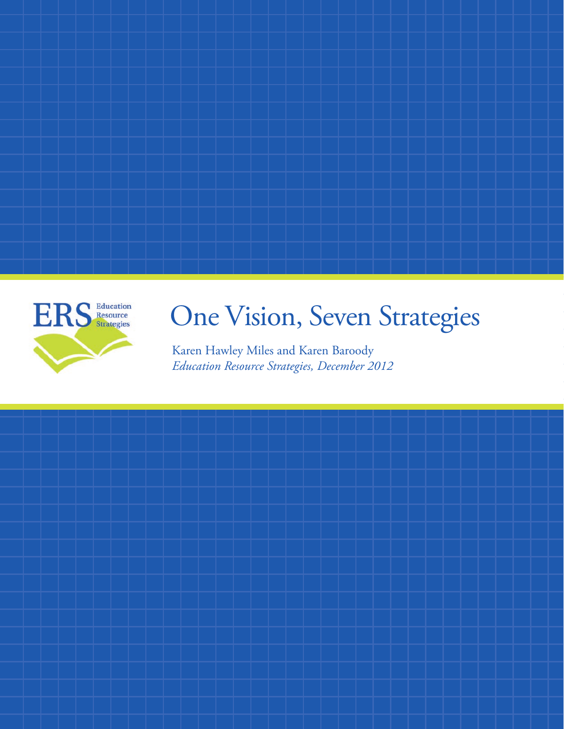

# One Vision, Seven Strategies

Karen Hawley Miles and Karen Baroody *Education Resource Strategies, December 2012*

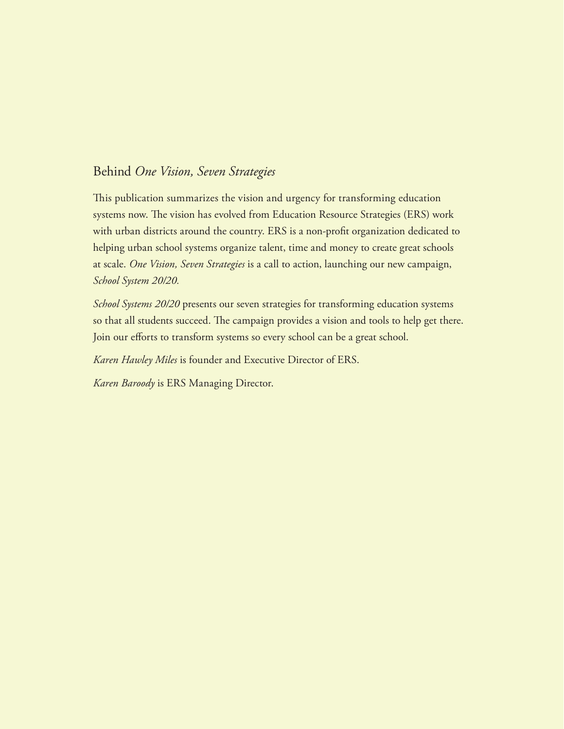# Behind *One Vision, Seven Strategies*

This publication summarizes the vision and urgency for transforming education systems now. The vision has evolved from Education Resource Strategies (ERS) work with urban districts around the country. ERS is a non-profit organization dedicated to helping urban school systems organize talent, time and money to create great schools at scale. *One Vision, Seven Strategies* is a call to action, launching our new campaign, *School System 20/20.*

*School Systems 20/20* presents our seven strategies for transforming education systems so that all students succeed. The campaign provides a vision and tools to help get there. Join our efforts to transform systems so every school can be a great school.

*Karen Hawley Miles* is founder and Executive Director of ERS.

*Karen Baroody* is ERS Managing Director.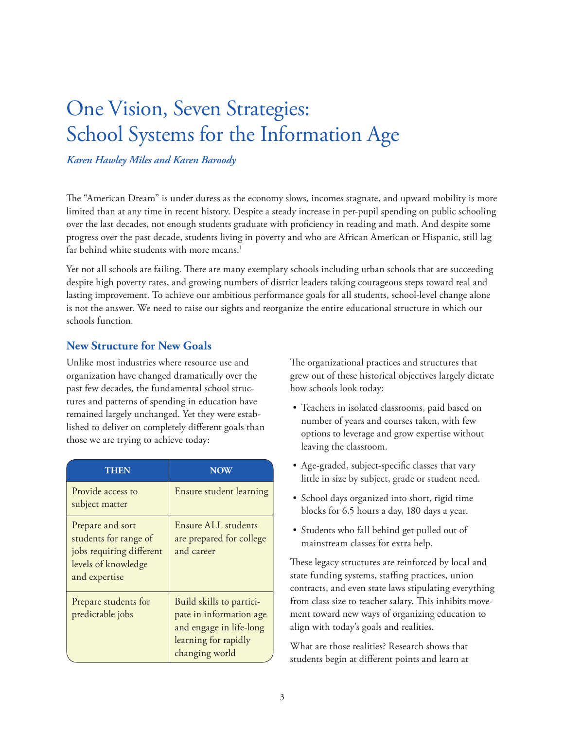# One Vision, Seven Strategies: School Systems for the Information Age

*Karen Hawley Miles and Karen Baroody*

The "American Dream" is under duress as the economy slows, incomes stagnate, and upward mobility is more limited than at any time in recent history. Despite a steady increase in per-pupil spending on public schooling over the last decades, not enough students graduate with proficiency in reading and math. And despite some progress over the past decade, students living in poverty and who are African American or Hispanic, still lag far behind white students with more means.<sup>1</sup>

Yet not all schools are failing. There are many exemplary schools including urban schools that are succeeding despite high poverty rates, and growing numbers of district leaders taking courageous steps toward real and lasting improvement. To achieve our ambitious performance goals for all students, school-level change alone is not the answer. We need to raise our sights and reorganize the entire educational structure in which our schools function.

# **New Structure for New Goals**

Unlike most industries where resource use and organization have changed dramatically over the past few decades, the fundamental school structures and patterns of spending in education have remained largely unchanged. Yet they were established to deliver on completely different goals than those we are trying to achieve today:

| THEN                                                                                                          | <b>NOW</b>                                                                                                               |
|---------------------------------------------------------------------------------------------------------------|--------------------------------------------------------------------------------------------------------------------------|
| Provide access to<br>subject matter                                                                           | Ensure student learning                                                                                                  |
| Prepare and sort<br>students for range of<br>jobs requiring different<br>levels of knowledge<br>and expertise | Ensure ALL students<br>are prepared for college<br>and career                                                            |
| Prepare students for<br>predictable jobs                                                                      | Build skills to partici-<br>pate in information age<br>and engage in life-long<br>learning for rapidly<br>changing world |

The organizational practices and structures that grew out of these historical objectives largely dictate how schools look today:

- Teachers in isolated classrooms, paid based on number of years and courses taken, with few options to leverage and grow expertise without leaving the classroom.
- • Age-graded, subject-specific classes that vary little in size by subject, grade or student need.
- School days organized into short, rigid time blocks for 6.5 hours a day, 180 days a year.
- Students who fall behind get pulled out of mainstream classes for extra help.

These legacy structures are reinforced by local and state funding systems, staffing practices, union contracts, and even state laws stipulating everything from class size to teacher salary. This inhibits movement toward new ways of organizing education to align with today's goals and realities.

What are those realities? Research shows that students begin at different points and learn at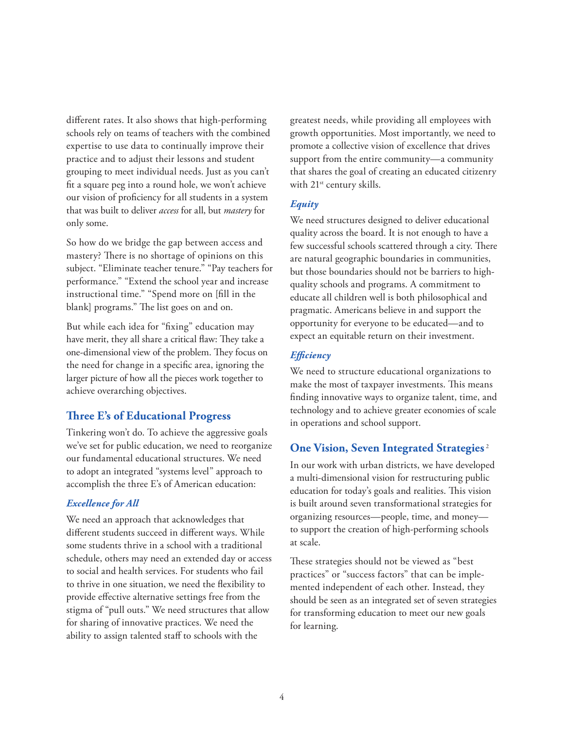different rates. It also shows that high-performing schools rely on teams of teachers with the combined expertise to use data to continually improve their practice and to adjust their lessons and student grouping to meet individual needs. Just as you can't fit a square peg into a round hole, we won't achieve our vision of proficiency for all students in a system that was built to deliver *access* for all, but *mastery* for only some.

So how do we bridge the gap between access and mastery? There is no shortage of opinions on this subject. "Eliminate teacher tenure." "Pay teachers for performance." "Extend the school year and increase instructional time." "Spend more on [fill in the blank] programs." The list goes on and on.

But while each idea for "fixing" education may have merit, they all share a critical flaw: They take a one-dimensional view of the problem. They focus on the need for change in a specific area, ignoring the larger picture of how all the pieces work together to achieve overarching objectives.

# **Three E's of Educational Progress**

Tinkering won't do. To achieve the aggressive goals we've set for public education, we need to reorganize our fundamental educational structures. We need to adopt an integrated "systems level" approach to accomplish the three E's of American education:

#### *Excellence for All*

We need an approach that acknowledges that different students succeed in different ways. While some students thrive in a school with a traditional schedule, others may need an extended day or access to social and health services. For students who fail to thrive in one situation, we need the flexibility to provide effective alternative settings free from the stigma of "pull outs." We need structures that allow for sharing of innovative practices. We need the ability to assign talented staff to schools with the

greatest needs, while providing all employees with growth opportunities. Most importantly, we need to promote a collective vision of excellence that drives support from the entire community—a community that shares the goal of creating an educated citizenry with 21<sup>st</sup> century skills.

# *Equity*

We need structures designed to deliver educational quality across the board. It is not enough to have a few successful schools scattered through a city. There are natural geographic boundaries in communities, but those boundaries should not be barriers to highquality schools and programs. A commitment to educate all children well is both philosophical and pragmatic. Americans believe in and support the opportunity for everyone to be educated—and to expect an equitable return on their investment.

# *Efficiency*

We need to structure educational organizations to make the most of taxpayer investments. This means finding innovative ways to organize talent, time, and technology and to achieve greater economies of scale in operations and school support.

# **One Vision, Seven Integrated Strategies** <sup>2</sup>

In our work with urban districts, we have developed a multi-dimensional vision for restructuring public education for today's goals and realities. This vision is built around seven transformational strategies for organizing resources—people, time, and money to support the creation of high-performing schools at scale.

These strategies should not be viewed as "best practices" or "success factors" that can be implemented independent of each other. Instead, they should be seen as an integrated set of seven strategies for transforming education to meet our new goals for learning.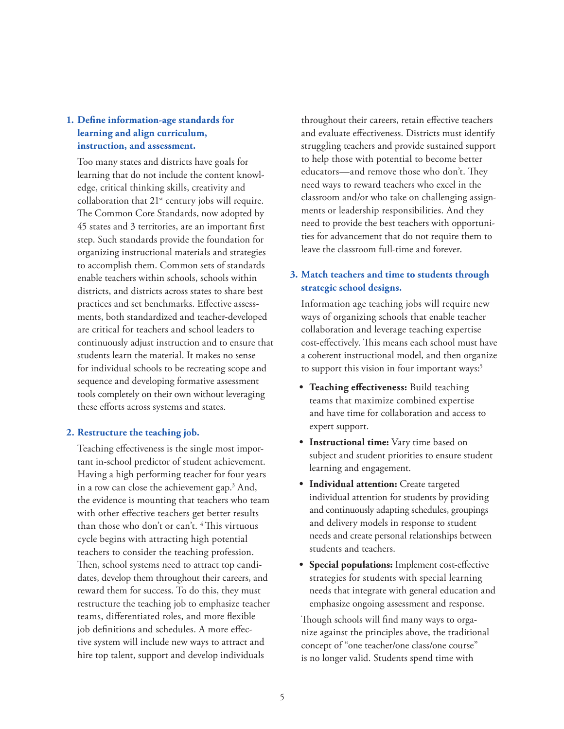# **1. Define information-age standards for learning and align curriculum, instruction, and assessment.**

Too many states and districts have goals for learning that do not include the content knowledge, critical thinking skills, creativity and collaboration that  $21<sup>st</sup>$  century jobs will require. The Common Core Standards, now adopted by 45 states and 3 territories, are an important first step. Such standards provide the foundation for organizing instructional materials and strategies to accomplish them. Common sets of standards enable teachers within schools, schools within districts, and districts across states to share best practices and set benchmarks. Effective assessments, both standardized and teacher-developed are critical for teachers and school leaders to continuously adjust instruction and to ensure that students learn the material. It makes no sense for individual schools to be recreating scope and sequence and developing formative assessment tools completely on their own without leveraging these efforts across systems and states.

#### **2. Restructure the teaching job.**

Teaching effectiveness is the single most important in-school predictor of student achievement. Having a high performing teacher for four years in a row can close the achievement gap.3 And, the evidence is mounting that teachers who team with other effective teachers get better results than those who don't or can't.<sup>4</sup> This virtuous cycle begins with attracting high potential teachers to consider the teaching profession. Then, school systems need to attract top candidates, develop them throughout their careers, and reward them for success. To do this, they must restructure the teaching job to emphasize teacher teams, differentiated roles, and more flexible job definitions and schedules. A more effective system will include new ways to attract and hire top talent, support and develop individuals

throughout their careers, retain effective teachers and evaluate effectiveness. Districts must identify struggling teachers and provide sustained support to help those with potential to become better educators—and remove those who don't. They need ways to reward teachers who excel in the classroom and/or who take on challenging assignments or leadership responsibilities. And they need to provide the best teachers with opportunities for advancement that do not require them to leave the classroom full-time and forever.

# **3. Match teachers and time to students through strategic school designs.**

Information age teaching jobs will require new ways of organizing schools that enable teacher collaboration and leverage teaching expertise cost-effectively. This means each school must have a coherent instructional model, and then organize to support this vision in four important ways:<sup>5</sup>

- **• Teaching effectiveness:** Build teaching teams that maximize combined expertise and have time for collaboration and access to expert support.
- **• Instructional time:** Vary time based on subject and student priorities to ensure student learning and engagement.
- **• Individual attention:** Create targeted individual attention for students by providing and continuously adapting schedules, groupings and delivery models in response to student needs and create personal relationships between students and teachers.
- **• Special populations:** Implement cost-effective strategies for students with special learning needs that integrate with general education and emphasize ongoing assessment and response.

Though schools will find many ways to organize against the principles above, the traditional concept of "one teacher/one class/one course" is no longer valid. Students spend time with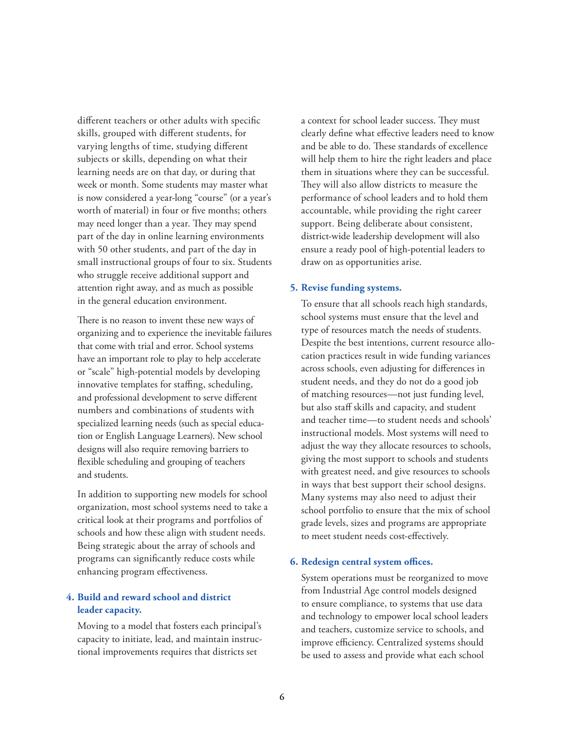different teachers or other adults with specific skills, grouped with different students, for varying lengths of time, studying different subjects or skills, depending on what their learning needs are on that day, or during that week or month. Some students may master what is now considered a year-long "course" (or a year's worth of material) in four or five months; others may need longer than a year. They may spend part of the day in online learning environments with 50 other students, and part of the day in small instructional groups of four to six. Students who struggle receive additional support and attention right away, and as much as possible in the general education environment.

There is no reason to invent these new ways of organizing and to experience the inevitable failures that come with trial and error. School systems have an important role to play to help accelerate or "scale" high-potential models by developing innovative templates for staffing, scheduling, and professional development to serve different numbers and combinations of students with specialized learning needs (such as special education or English Language Learners). New school designs will also require removing barriers to flexible scheduling and grouping of teachers and students.

In addition to supporting new models for school organization, most school systems need to take a critical look at their programs and portfolios of schools and how these align with student needs. Being strategic about the array of schools and programs can significantly reduce costs while enhancing program effectiveness.

#### **4. Build and reward school and district leader capacity.**

Moving to a model that fosters each principal's capacity to initiate, lead, and maintain instructional improvements requires that districts set

a context for school leader success. They must clearly define what effective leaders need to know and be able to do. These standards of excellence will help them to hire the right leaders and place them in situations where they can be successful. They will also allow districts to measure the performance of school leaders and to hold them accountable, while providing the right career support. Being deliberate about consistent, district-wide leadership development will also ensure a ready pool of high-potential leaders to draw on as opportunities arise.

#### **5. Revise funding systems.**

To ensure that all schools reach high standards, school systems must ensure that the level and type of resources match the needs of students. Despite the best intentions, current resource allocation practices result in wide funding variances across schools, even adjusting for differences in student needs, and they do not do a good job of matching resources—not just funding level, but also staff skills and capacity, and student and teacher time—to student needs and schools' instructional models. Most systems will need to adjust the way they allocate resources to schools, giving the most support to schools and students with greatest need, and give resources to schools in ways that best support their school designs. Many systems may also need to adjust their school portfolio to ensure that the mix of school grade levels, sizes and programs are appropriate to meet student needs cost-effectively.

#### **6. Redesign central system offices.**

System operations must be reorganized to move from Industrial Age control models designed to ensure compliance, to systems that use data and technology to empower local school leaders and teachers, customize service to schools, and improve efficiency. Centralized systems should be used to assess and provide what each school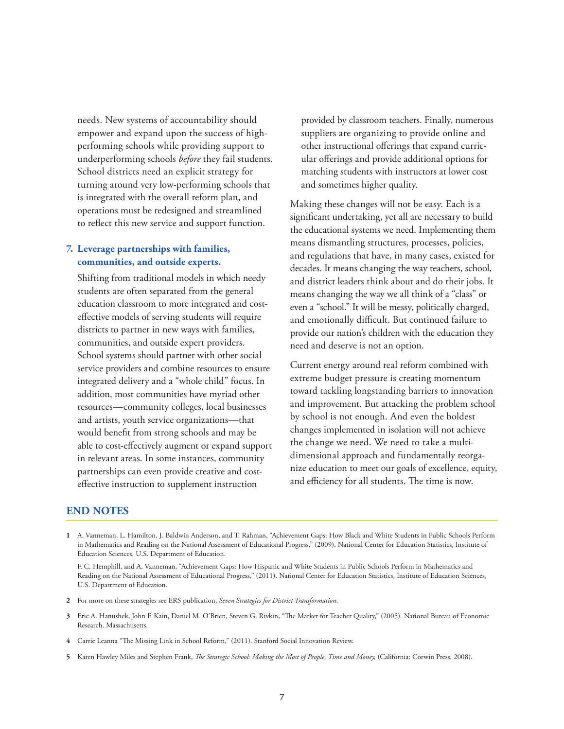needs. New systems of accountability should empower and expand upon the success of highperforming schools while providing support to underperforming schools *before* they fail students. School districts need an explicit strategy for turning around very low-performing schools that is integrated with the overall reform plan, and operations must be redesigned and streamlined to reflect this new service and support function.

#### **7. Leverage partnerships with families, communities, and outside experts.**

Shifting from traditional models in which needy students are often separated from the general education classroom to more integrated and costeffective models of serving students will require districts to partner in new ways with families, communities, and outside expert providers. School systems should partner with other social service providers and combine resources to ensure integrated delivery and a "whole child" focus. In addition, most communities have myriad other resources—community colleges, local businesses and artists, youth service organizations—that would benefit from strong schools and may be able to cost-effectively augment or expand support in relevant areas. In some instances, community partnerships can even provide creative and costeffective instruction to supplement instruction

provided by classroom teachers. Finally, numerous suppliers are organizing to provide online and other instructional offerings that expand curricular offerings and provide additional options for matching students with instructors at lower cost and sometimes higher quality.

Making these changes will not be easy. Each is a significant undertaking, yet all are necessary to build the educational systems we need. Implementing them means dismantling structures, processes, policies, and regulations that have, in many cases, existed for decades. It means changing the way teachers, school, and district leaders think about and do their jobs. It means changing the way we all think of a "class" or even a "school." It will be messy, politically charged, and emotionally difficult. But continued failure to provide our nation's children with the education they need and deserve is not an option.

Current energy around real reform combined with extreme budget pressure is creating momentum toward tackling longstanding barriers to innovation and improvement. But attacking the problem school by school is not enough. And even the boldest changes implemented in isolation will not achieve the change we need. We need to take a multidimensional approach and fundamentally reorganize education to meet our goals of excellence, equity, and efficiency for all students. The time is now.

#### **END NOTES**

- **1** A. Vanneman, L. Hamilton, J. Baldwin Anderson, and T. Rahman, "Achievement Gaps: How Black and White Students in Public Schools Perform in Mathematics and Reading on the National Assessment of Educational Progress," (2009). National Center for Education Statistics, Institute of Education Sciences, U.S. Department of Education.
	- F. C. Hemphill, and A. Vanneman, "Achievement Gaps: How Hispanic and White Students in Public Schools Perform in Mathematics and Reading on the National Assessment of Educational Progress," (2011). National Center for Education Statistics, Institute of Education Sciences, U.S. Department of Education.
- **2** For more on these strategies see ERS publication, *Seven Strategies for District Transformation*.
- **3** Eric A. Hanushek, John F. Kain, Daniel M. O'Brien, Steven G. Rivkin, "The Market for Teacher Quality," (2005). National Bureau of Economic Research. Massachusetts.
- **4** Carrie Leanna "The Missing Link in School Reform," (2011). Stanford Social Innovation Review.
- **5** Karen Hawley Miles and Stephen Frank, *The Strategic School: Making the Most of People, Time and Money,* (California: Corwin Press, 2008).